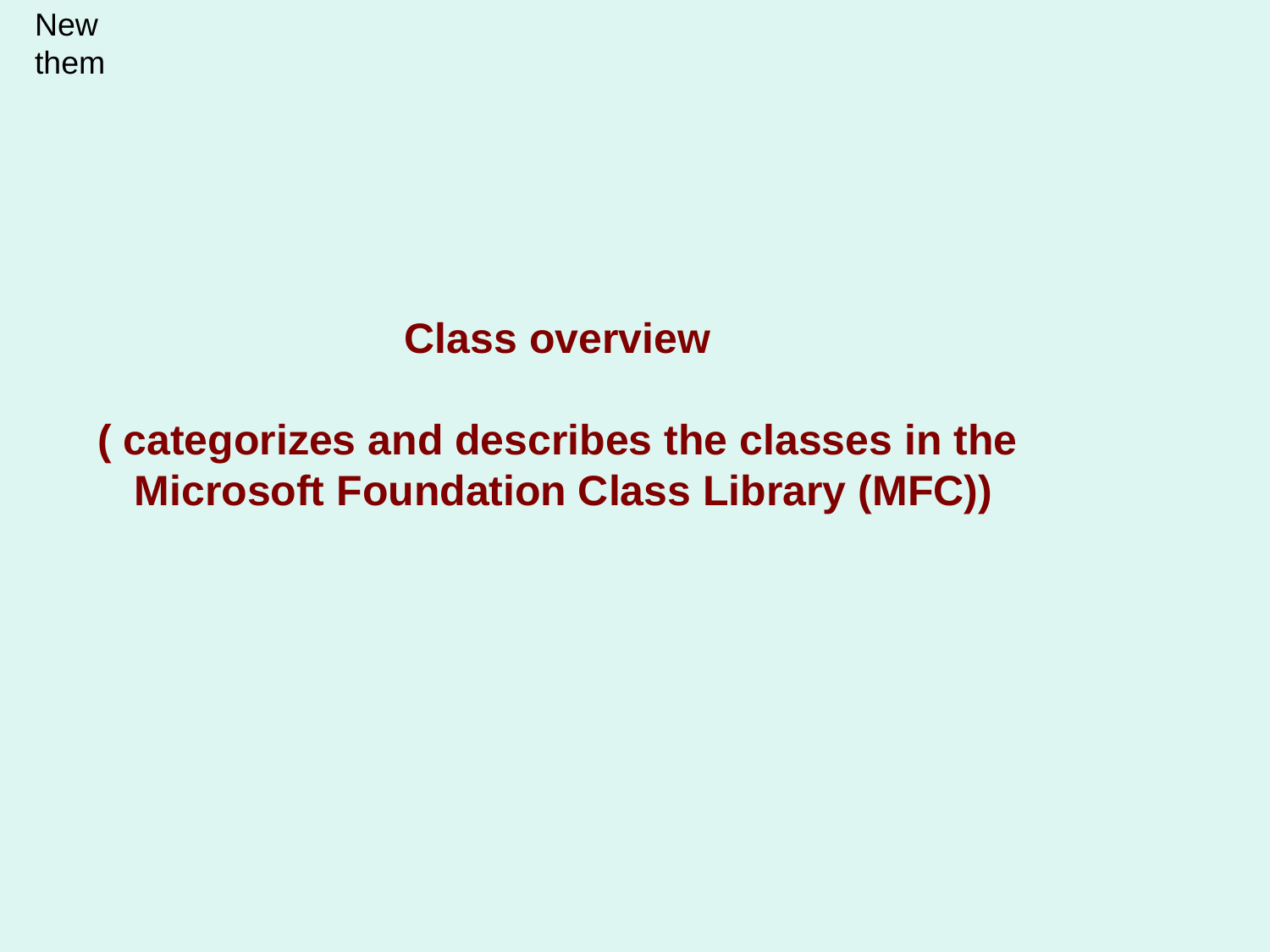**New** them

## **Class overview**

## **( categorizes and describes the classes in the Microsoft Foundation Class Library (MFC))**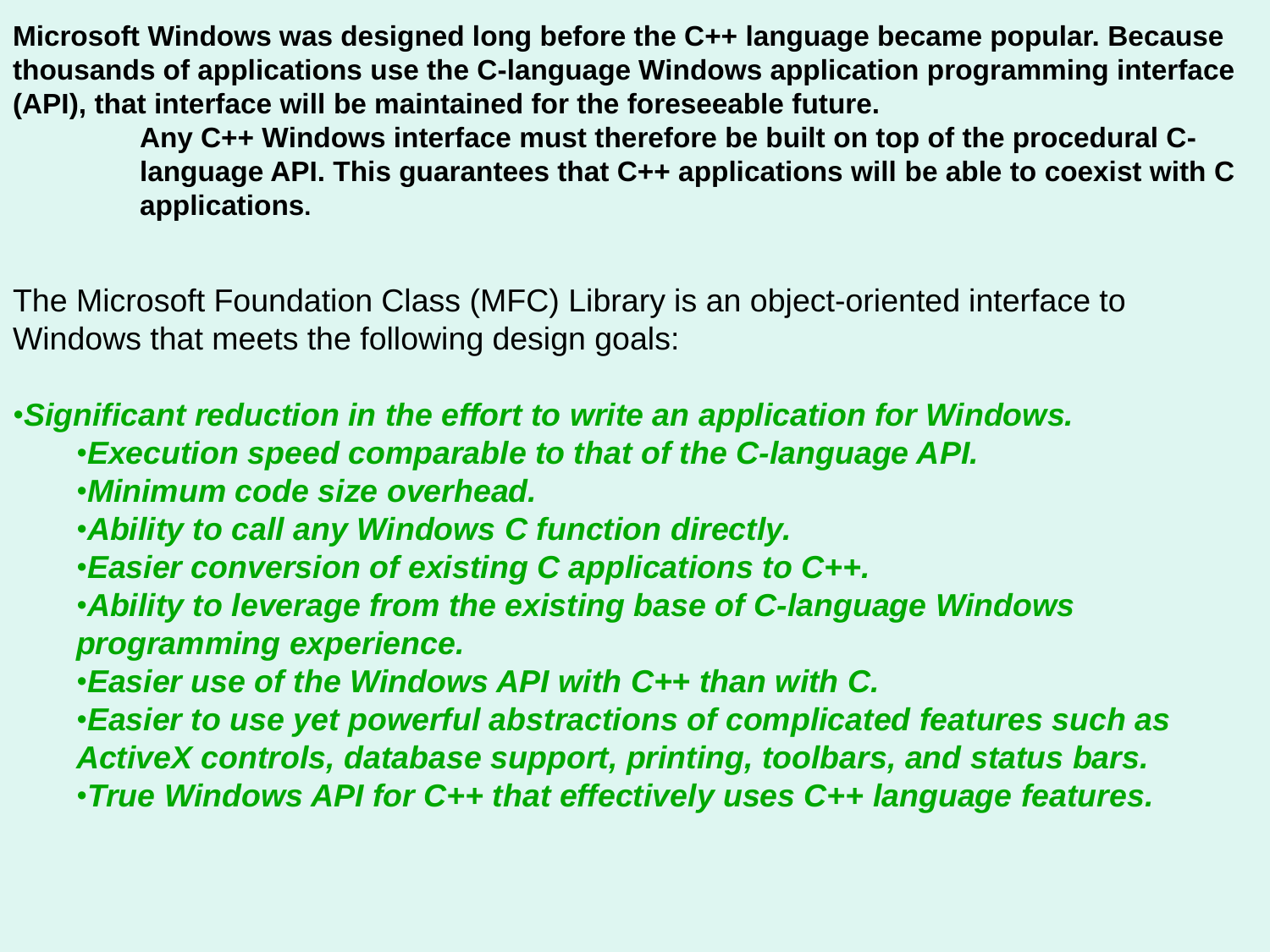**Microsoft Windows was designed long before the C++ language became popular. Because thousands of applications use the C-language Windows application programming interface (API), that interface will be maintained for the foreseeable future.** 

> **Any C++ Windows interface must therefore be built on top of the procedural Clanguage API. This guarantees that C++ applications will be able to coexist with C applications.**

The Microsoft Foundation Class (MFC) Library is an object-oriented interface to Windows that meets the following design goals:

•*Significant reduction in the effort to write an application for Windows.* 

- •*Execution speed comparable to that of the C-language API.*
- •*Minimum code size overhead.*
- •*Ability to call any Windows C function directly.*
- •*Easier conversion of existing C applications to C++.*
- •*Ability to leverage from the existing base of C-language Windows programming experience.*
- •*Easier use of the Windows API with C++ than with C.*
- •*Easier to use yet powerful abstractions of complicated features such as ActiveX controls, database support, printing, toolbars, and status bars.*
- •*True Windows API for C++ that effectively uses C++ language features.*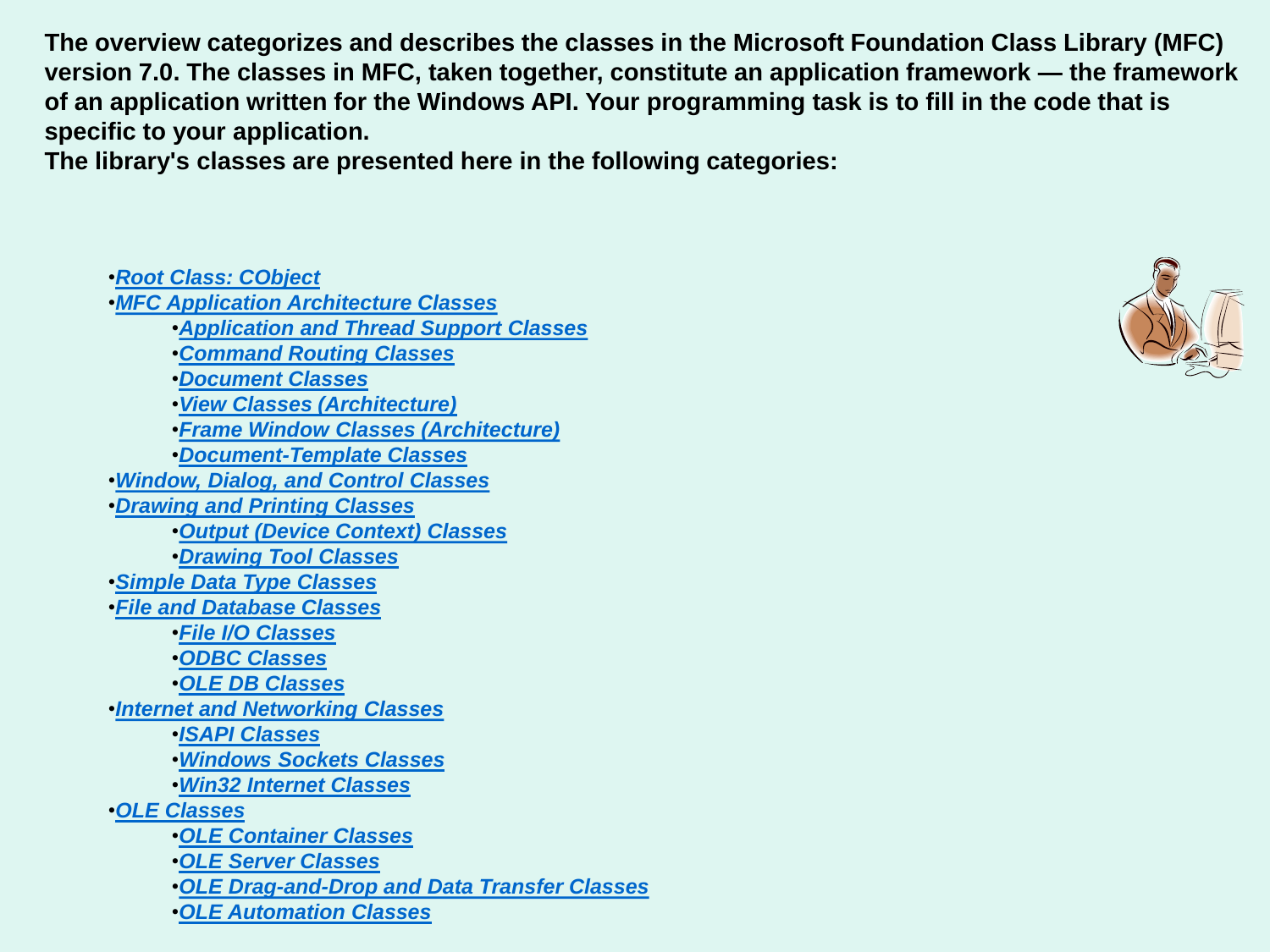**The overview categorizes and describes the classes in the Microsoft Foundation Class Library (MFC) version 7.0. The classes in MFC, taken together, constitute an application framework — the framework of an application written for the Windows API. Your programming task is to fill in the code that is specific to your application.** 

**The library's classes are presented here in the following categories:** 

•*[Root Class: CObject](_mfc_root_class.3a_.cobject.htm)* •*[MFC Application Architecture Classes](_mfc_mfc_application_architecture_classes.htm)* •*[Application and Thread Support Classes](_mfc_application_and_thread_support_classes.htm)* •*[Command Routing Classes](_mfc_command_routing_classes.htm)* •*[Document Classes](_mfc_document_classes.htm)* •*[View Classes \(Architecture\)](_mfc_view_classes_.28.architecture.29.htm)* •*[Frame Window Classes \(Architecture\)](_mfc_frame_window_classes_.28.architecture.29.htm)* •*[Document-Template Classes](_mfc_document.2d.template_classes.htm)* •*[Window, Dialog, and Control Classes](_mfc_window.2c_.dialog.2c_.and_control_classes.htm)*  •*[Drawing and Printing Classes](_mfc_drawing_and_printing_classes.htm)* •*[Output \(Device Context\) Classes](_mfc_output_.28.device_context.29_.classes.htm)* •*[Drawing Tool Classes](_mfc_drawing_tool_classes.htm)* •*[Simple Data Type Classes](_mfc_simple_data_type_classes.htm)*  •*[File and Database Classes](_mfc_file_and_database_classes.htm)* •*[File I/O Classes](_mfc_file_i.2f.o_classes.htm)*  •*[ODBC Classes](_mfc_odbc_classes.htm)* •*[OLE DB Classes](vcrefoledbclasses.htm)* •*[Internet and Networking Classes](_mfc_internet_and_networking_classes.htm)* •*[ISAPI Classes](_mfc_isapi_classes.htm)* •*[Windows Sockets Classes](_mfc_windows_sockets_classes.htm)* •*[Win32 Internet Classes](_mfc_win32_internet_classes.htm)* •*[OLE Classes](_mfc_ole_classes.htm)* •*[OLE Container Classes](_mfc_ole_container_classes.htm)* •*[OLE Server Classes](_mfc_ole_server_classes.htm)* •*[OLE Drag-and-Drop and Data Transfer Classes](_mfc_ole_drag.2d.and.2d.drop_and_data_transfer_classes.htm)*  •*[OLE Automation Classes](_mfc_ole_automation_classes.htm)* 

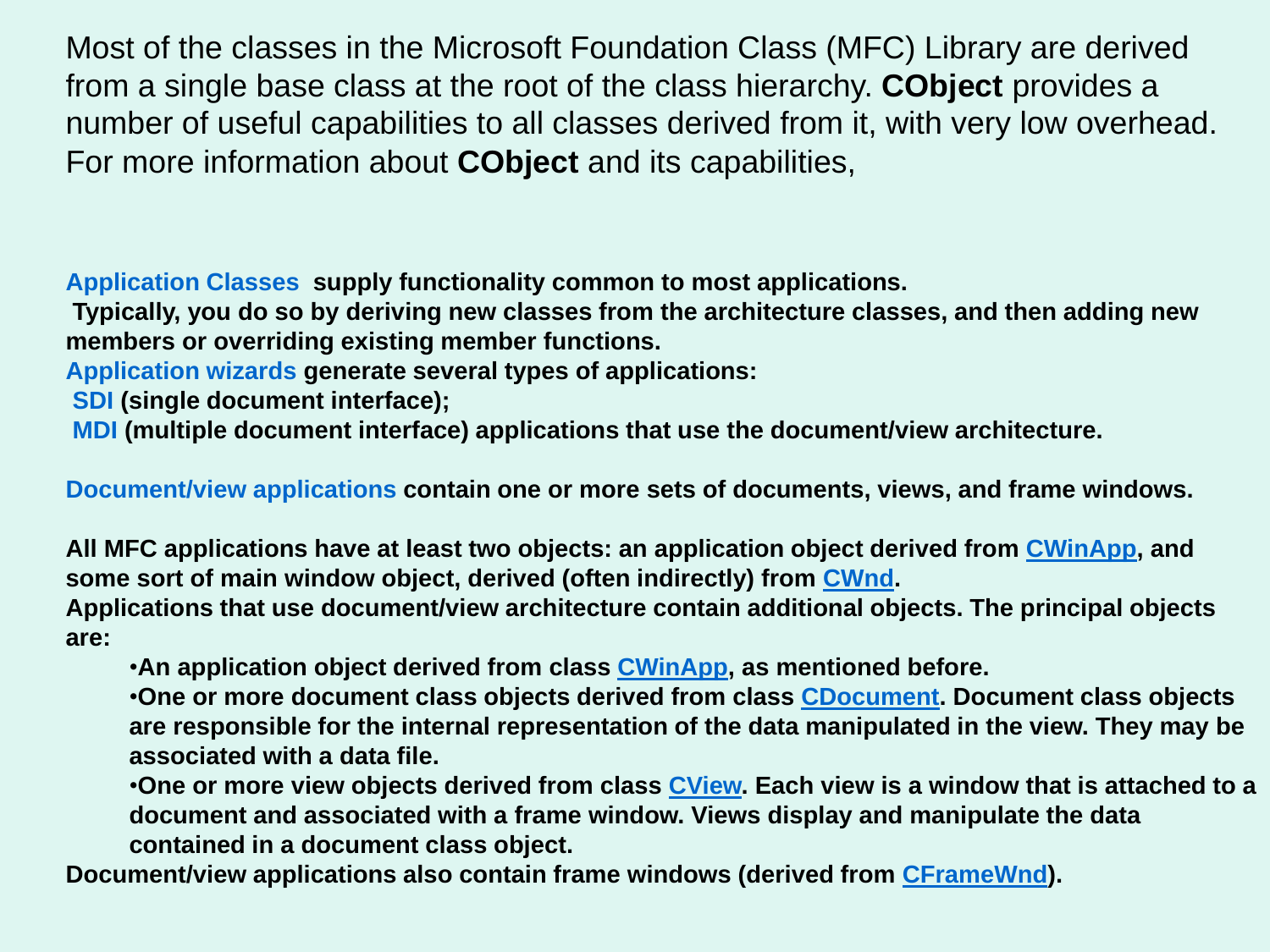Most of the classes in the Microsoft Foundation Class (MFC) Library are derived from a single base class at the root of the class hierarchy. **CObject** provides a number of useful capabilities to all classes derived from it, with very low overhead. For more information about **CObject** and its capabilities,

**Application Classes supply functionality common to most applications.** 

**Typically, you do so by deriving new classes from the architecture classes, and then adding new members or overriding existing member functions.**

**Application wizards generate several types of applications:**

**SDI (single document interface);**

**MDI (multiple document interface) applications that use the document/view architecture.**

**Document/view applications contain one or more sets of documents, views, and frame windows.** 

**All MFC applications have at least two objects: an application object derived from [CWinApp](_mfc_cwinapp.htm), and some sort of main window object, derived (often indirectly) from [CWnd.](_mfc_cwnd.htm)** 

**Applications that use document/view architecture contain additional objects. The principal objects are:** 

•**An application object derived from class [CWinApp,](_mfc_cwinapp.htm) as mentioned before.** 

•**One or more document class objects derived from class [CDocument.](_mfc_cdocument.htm) Document class objects are responsible for the internal representation of the data manipulated in the view. They may be associated with a data file.** 

•**One or more view objects derived from class [CView](_mfc_cview.htm). Each view is a window that is attached to a document and associated with a frame window. Views display and manipulate the data contained in a document class object.** 

**Document/view applications also contain frame windows (derived from [CFrameWnd\)](_mfc_cframewnd.htm).**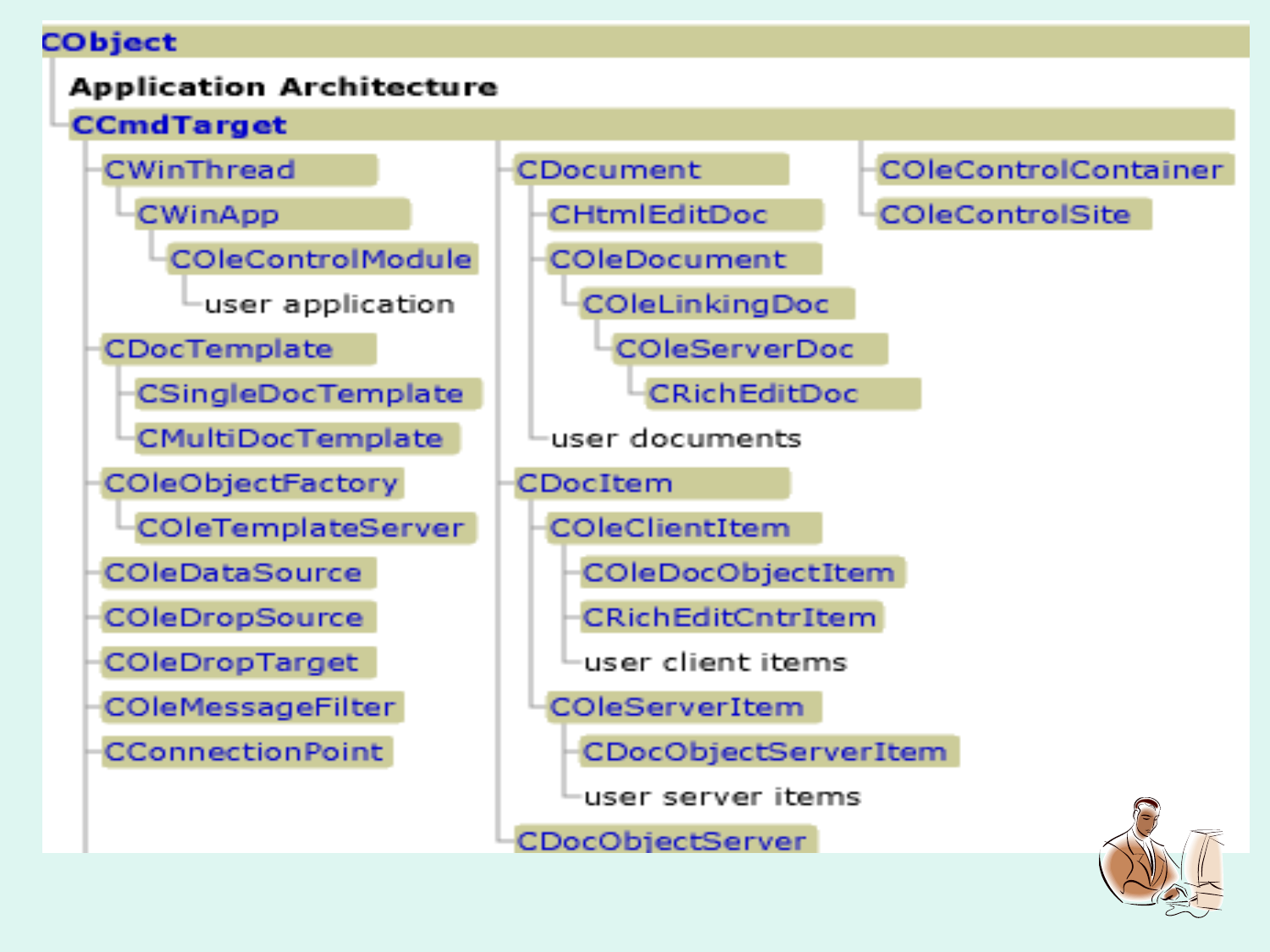### CObject

### **Application Architecture**



CDocObiectServer

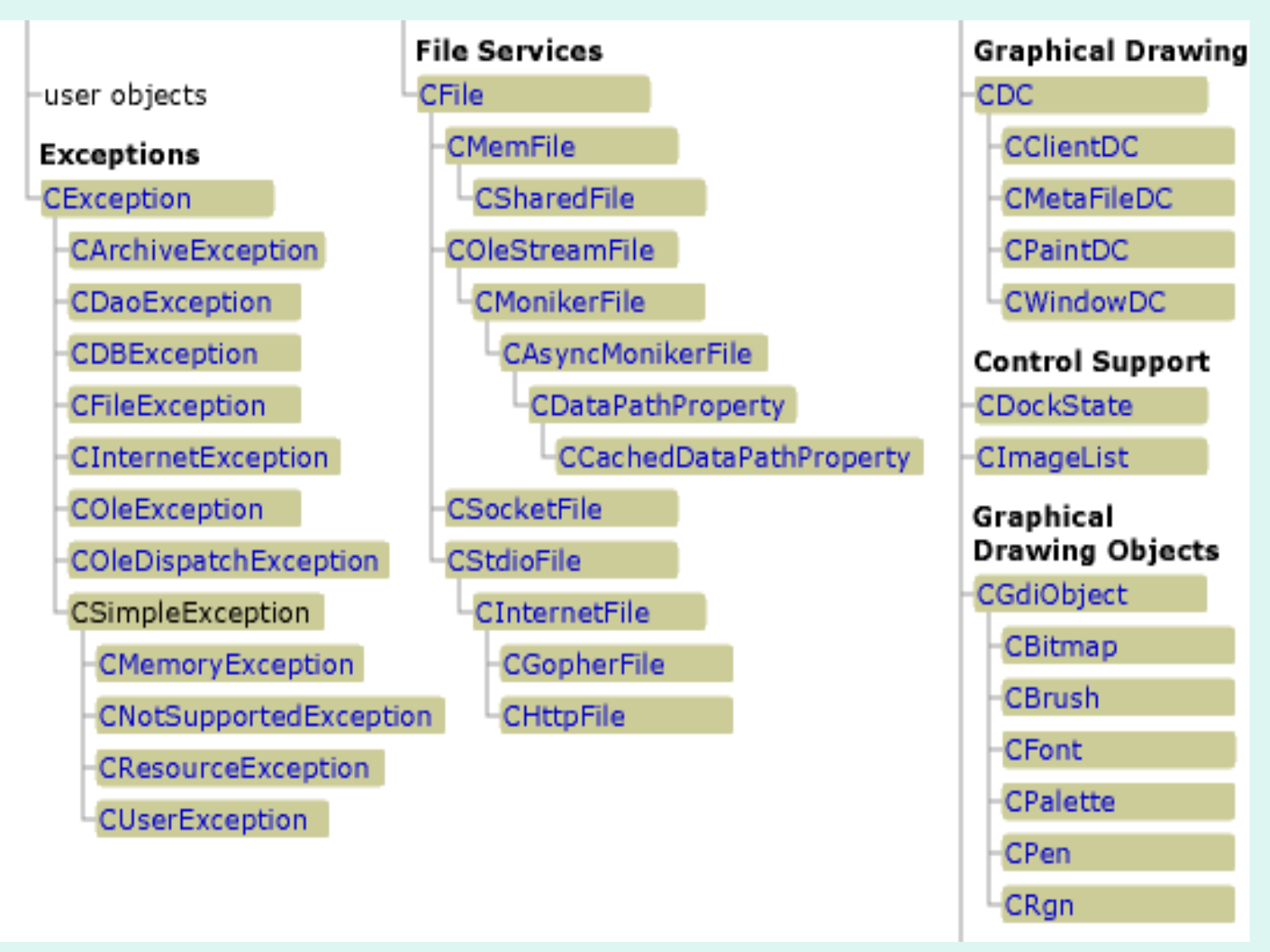

### **Exceptions**

CException

**CArchiveException** 

CDaoException

**CDBException** 

CFileException

CInternetException

COleException

COleDispatchException

CSimpleException

CMemory Exception

CNotSupportedException

- **CResourceException**
- **CUserException**

| <b>File Services</b>           |  |
|--------------------------------|--|
| CFile                          |  |
| <b>CMemFile</b>                |  |
| CSharedFile                    |  |
| COleStreamFile                 |  |
| <b>CMonikerFile</b>            |  |
| CAsyncMonikerFile              |  |
| <b>CDataPathProperty</b>       |  |
| <b>CCachedDataPathProperty</b> |  |
| CSocketFile                    |  |
| CStdioFile                     |  |
| CInternetFile                  |  |
| CGopherFile                    |  |
| CHttpFile<br>חו                |  |
|                                |  |

# **Graphical Drawing CDC** CClientDC **CMetaFileDC** CPaintDC **CWindowDC Control Support CDockState** CImageList Graphical **Drawing Objects** CGdiObject **CBitmap CBrush CFont CPalette CPen CRgn**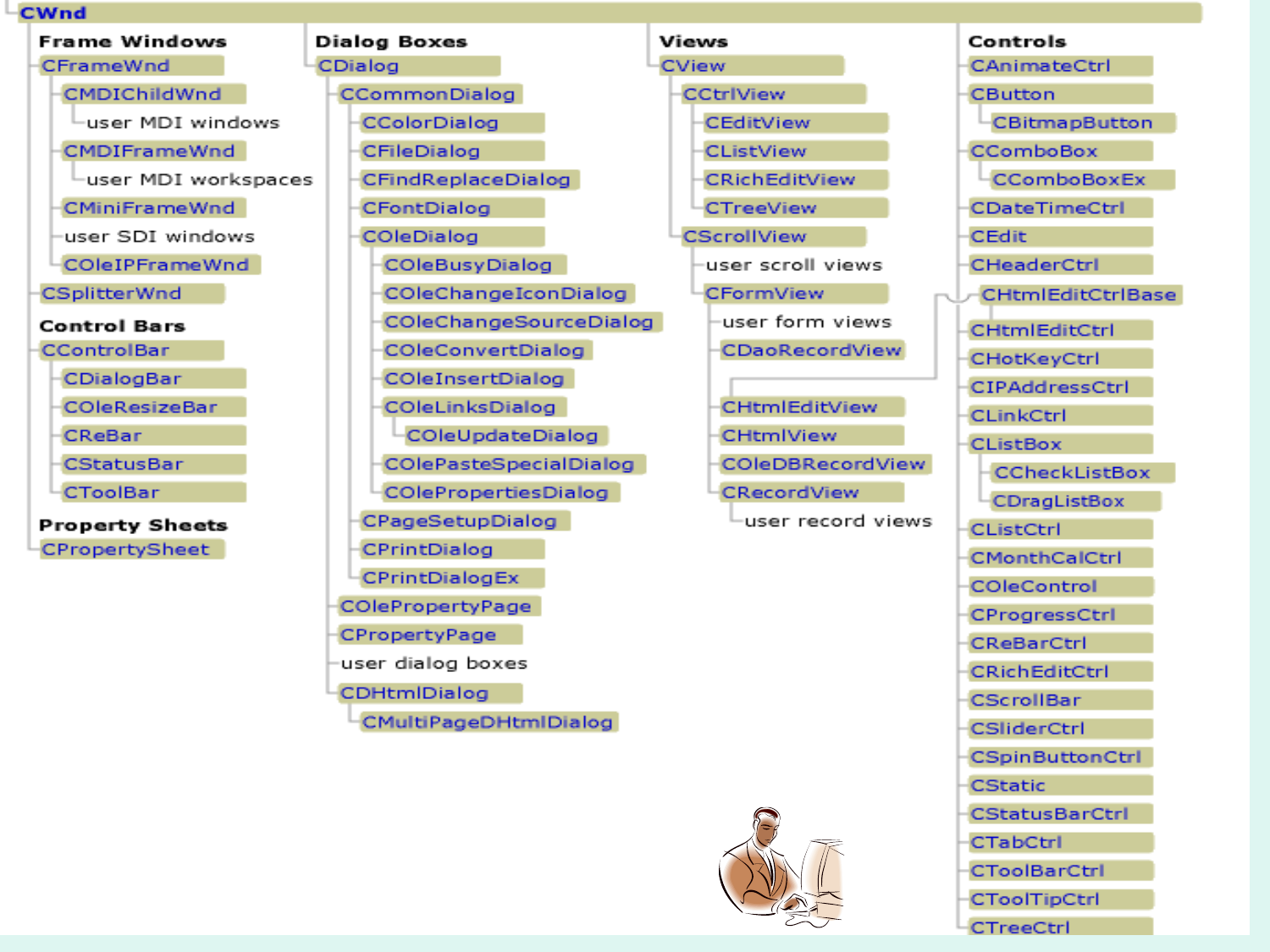#### **CWnd**

**Frame Windows** 

CFrameWnd

**CMDIChildWnd** 

user MDI windows

**CMDIFrameWnd** 

Luser MDI workspaces

**CMiniFrameWnd** 

user SDI windows

COleIPFrameWnd

CSplitterWnd

#### **Control Bars**

**CControlBar** 

CDialogBar

**COleResizeBar** 

CReBar

**CStatusBar** 

**CToolBar** 

**Property Sheets** CPropertySheet

| <b>Dialog Boxes</b>           | Views        |
|-------------------------------|--------------|
| CDialog                       | <b>CView</b> |
| <b>CCommonDialog</b>          | <b>CCtrl</b> |
| CColorDialog                  | CE           |
| CFileDialog                   | <b>CLi</b>   |
| <b>CFindReplaceDialog</b>     | CRi          |
| CFontDialog                   | CTr          |
| COleDialog                    | CScro        |
| <b>COleBusyDialog</b>         | use          |
| COleChangeIconDialog          | CFc          |
| COleChangeSourceDialog        | us           |
| <b>COleConvertDialog</b>      | CI           |
| COleInsertDialog              |              |
| COleLinksDialog               | C)           |
| COleUpdateDialog              | C)           |
| <b>COlePasteSpecialDialog</b> | Ō            |
| COlePropertiesDialog          | C)           |
| CPageSetupDialog              |              |
| CPrintDialog                  |              |
| CPrintDialogEx                |              |
| COlePropertyPage              |              |
| CPropertyPage                 |              |
| user dialog boxes             |              |
| CDHtmlDialog                  |              |
| CMultiPageDHtmlDialog         |              |
|                               |              |





| Controls                 |
|--------------------------|
| CAnimateCtrl             |
| CButton                  |
| CBitmapButton            |
| CComboBox                |
| CComboBoxEx              |
| CDateTimeCtrl            |
| <b>CEdit</b>             |
| CHeaderCtrl              |
| <b>CHtmlEditCtrlBase</b> |
| <b>CHtmlEditCtrl</b>     |
| CHotKeyCtrl              |
| CIPAddressCtrl           |
| <b>CLinkCtrl</b>         |
| <b>CListBox</b>          |
| CCheckListBox            |
| <b>CDragListBox</b>      |
| <b>CListCtrl</b>         |
| CMonthCalCtrl            |
| COleControl              |
| CProgressCtrl            |
| <b>CReBarCtrl</b>        |
| <b>CRichEditCtrl</b>     |
| -CScrollBar              |
| <b>CSliderCtrl</b>       |
| <b>CSpinButtonCt</b>     |
| <b>CStatic</b>           |
| -CStatusBarCtrl          |
| <b>CTabCtrl</b>          |
| -CToolBarCtrl            |
| <b>CToolTipCtrl</b>      |
| CTreeCtrl                |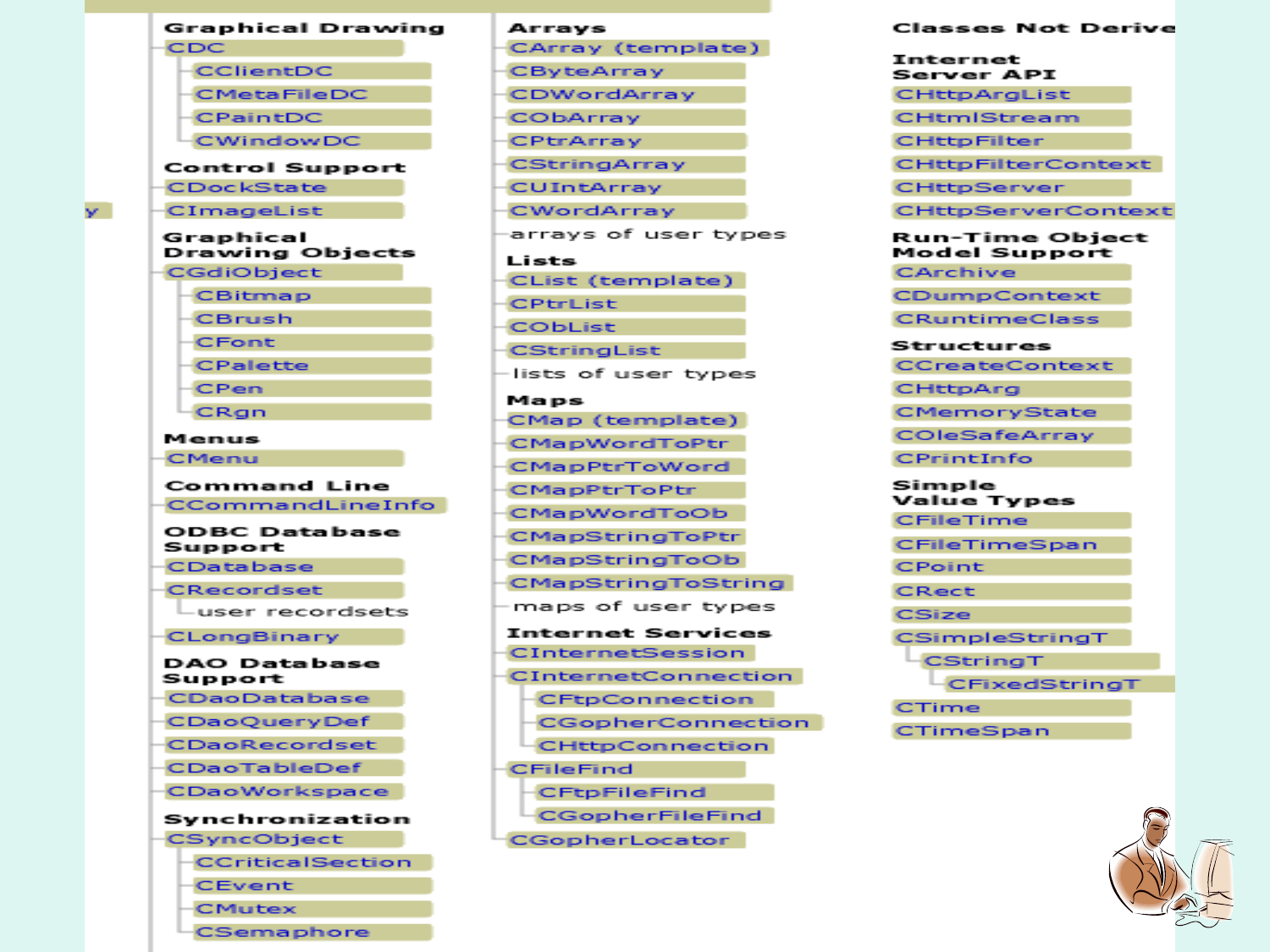#### Graphical Drawing CDC **CClientDC CMetaFileDC CPaintDC CWindowDC** Control Support **CDockState** CImageList Graphical **Drawing Objects** CGdiObject **CBitmap CBrush CFont CPalette** CPen CRan Menus **CMenu Command Line CCommandLineInfo ODBC** Database Support CDatabase CRecordset user recordsets **CLongBinary** DAO Database Support CDaoDatabase **CDaoQueryDef** CDaoRecordset CDaoTableDef

v.

**CDaoWorkspace** Synchronization

CSyncObject

**CCriticalSection** 

CEvent

**CMutex** 

CSemaphore

#### Arrays CArray (template) **CByteArray** CDWordArray CObArray CPtrArray **CStringArray CUIntArray** CWordArray arravs of user types Lists CList (template) **CPtrList CObList CStringList** lists of user types Maps CMap (template) **CMapWordToPtr CMapPtrToWord** CMapPtrToPtr **CMapWordToOb CMapStringToPtr CMapStringToOb CMapStringToString** maps of user types Internet Services CInternetSession **CInternetConnection CFtpConnection CGopherConnection CHttpConnection** CFileFind **CFtpFileFind CGopherFileFind** CGopherLocator

#### **Classes Not Derive** Internet **Server API CHttpArgList** CHtmlStream **CHttpFilter CHttpFilterContext CHttpServer** CHttpServerContext **Run-Time Object** Model Support CArchive CDumpContext **CRuntimeClass** Structures CCreateContext **CHttpAra** CMemoryState COleSafeArray CPrintInfo Simple Value Types **CFileTime** CFileTimeSpan **CPoint** CRect **CSize** CSimpleStringT CStringT CFixedStringT CTime CTimeSpan